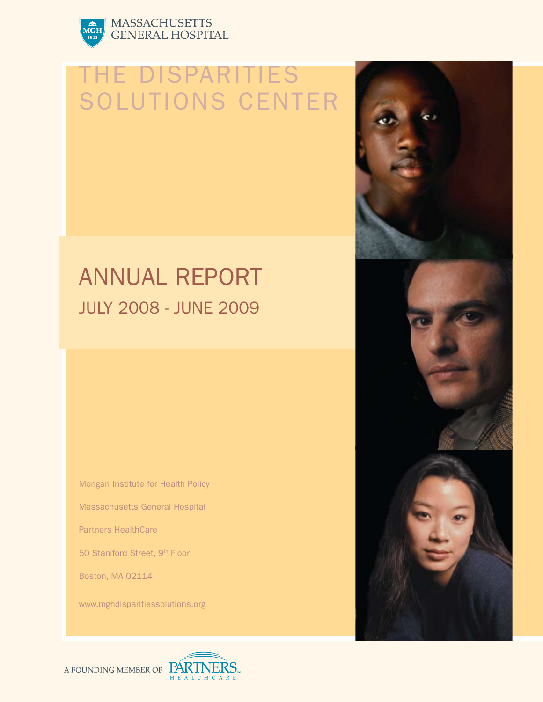

# MASSACHUSETTS<br>GENERAL HOSPITAL

# **TE DISPARITIES** Solutions Center

# Annual Report July 2008 - June 2009

Mongan Institute for Health Policy

Massachusetts General Hospital

Partners HealthCare

50 Staniford Street, 9<sup>th</sup> Floor

Boston, MA 02114

www.mghdisparitiessolutions.org





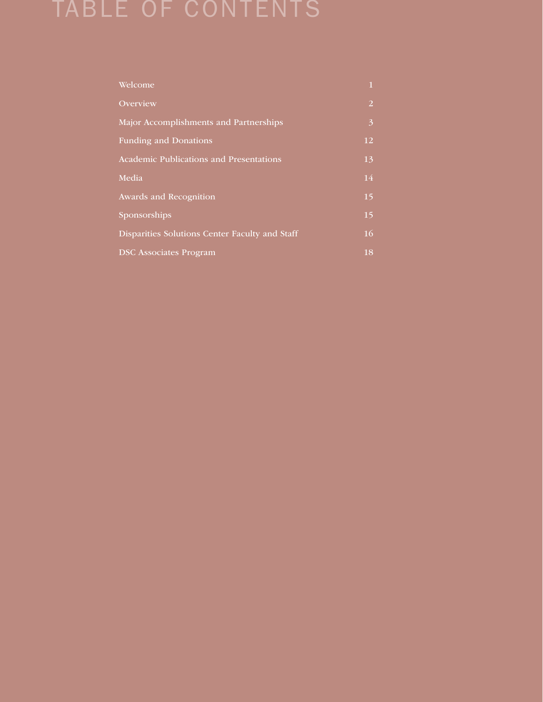## Table of Contents

| Welcome                                        | $\mathbf{1}$   |
|------------------------------------------------|----------------|
| Overview                                       | $\overline{2}$ |
| Major Accomplishments and Partnerships         | 3              |
| <b>Funding and Donations</b>                   | 12             |
| Academic Publications and Presentations        | 13             |
| Media                                          | 14             |
| Awards and Recognition                         | 15             |
| Sponsorships                                   | 15             |
| Disparities Solutions Center Faculty and Staff | 16             |
| <b>DSC</b> Associates Program                  | 18             |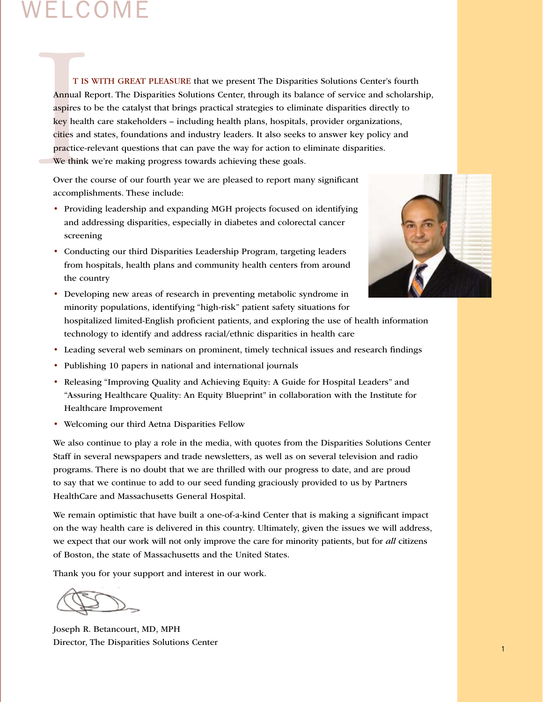## Welcome

T IS<br>Annual Re<br>aspires to<br>key healtl<br>cities and<br>practice-r<br>We think<br>Over the<br>accomplis T IS WITH GREAT PLEASURE that we present The Disparities Solutions Center's fourth Annual Report. The Disparities Solutions Center, through its balance of service and scholarship, aspires to be the catalyst that brings practical strategies to eliminate disparities directly to key health care stakeholders – including health plans, hospitals, provider organizations, cities and states, foundations and industry leaders. It also seeks to answer key policy and practice-relevant questions that can pave the way for action to eliminate disparities. We think we're making progress towards achieving these goals.

Over the course of our fourth year we are pleased to report many significant accomplishments. These include:

- Providing leadership and expanding MGH projects focused on identifying and addressing disparities, especially in diabetes and colorectal cancer screening
- Conducting our third Disparities Leadership Program, targeting leaders from hospitals, health plans and community health centers from around the country



- Developing new areas of research in preventing metabolic syndrome in minority populations, identifying "high-risk" patient safety situations for hospitalized limited-English proficient patients, and exploring the use of health information technology to identify and address racial/ethnic disparities in health care
- Leading several web seminars on prominent, timely technical issues and research findings
- Publishing 10 papers in national and international journals
- Releasing "Improving Quality and Achieving Equity: A Guide for Hospital Leaders" and "Assuring Healthcare Quality: An Equity Blueprint" in collaboration with the Institute for Healthcare Improvement
- Welcoming our third Aetna Disparities Fellow

We also continue to play a role in the media, with quotes from the Disparities Solutions Center Staff in several newspapers and trade newsletters, as well as on several television and radio programs. There is no doubt that we are thrilled with our progress to date, and are proud to say that we continue to add to our seed funding graciously provided to us by Partners HealthCare and Massachusetts General Hospital.

We remain optimistic that have built a one-of-a-kind Center that is making a significant impact on the way health care is delivered in this country. Ultimately, given the issues we will address, we expect that our work will not only improve the care for minority patients, but for *all* citizens of Boston, the state of Massachusetts and the United States.

Thank you for your support and interest in our work.

Joseph R. Betancourt, MD, MPH Director, The Disparities Solutions Center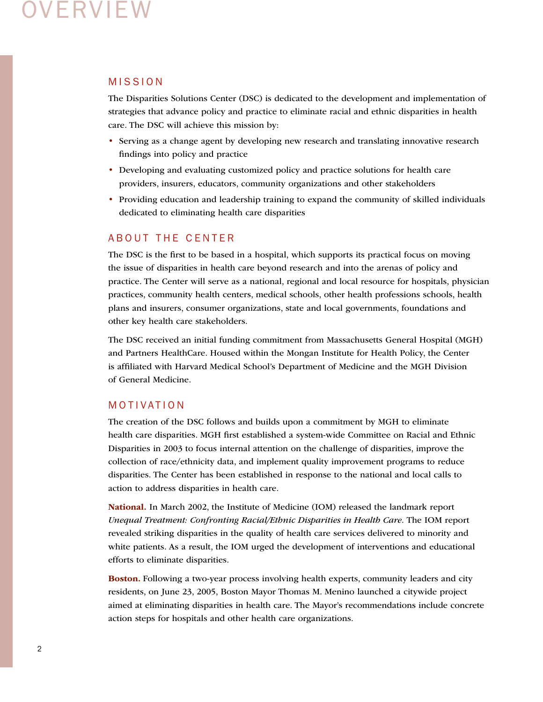## )VERVIEW

## **MISSION**

The Disparities Solutions Center (DSC) is dedicated to the development and implementation of strategies that advance policy and practice to eliminate racial and ethnic disparities in health care. The DSC will achieve this mission by:

- Serving as a change agent by developing new research and translating innovative research findings into policy and practice
- Developing and evaluating customized policy and practice solutions for health care providers, insurers, educators, community organizations and other stakeholders
- Providing education and leadership training to expand the community of skilled individuals dedicated to eliminating health care disparities

## A B OUT THE CENTER

The DSC is the first to be based in a hospital, which supports its practical focus on moving the issue of disparities in health care beyond research and into the arenas of policy and practice. The Center will serve as a national, regional and local resource for hospitals, physician practices, community health centers, medical schools, other health professions schools, health plans and insurers, consumer organizations, state and local governments, foundations and other key health care stakeholders.

The DSC received an initial funding commitment from Massachusetts General Hospital (MGH) and Partners HealthCare. Housed within the Mongan Institute for Health Policy, the Center is affiliated with Harvard Medical School's Department of Medicine and the MGH Division of General Medicine.

## MOTIVATION

The creation of the DSC follows and builds upon a commitment by MGH to eliminate health care disparities. MGH first established a system-wide Committee on Racial and Ethnic Disparities in 2003 to focus internal attention on the challenge of disparities, improve the collection of race/ethnicity data, and implement quality improvement programs to reduce disparities. The Center has been established in response to the national and local calls to action to address disparities in health care.

National. In March 2002, the Institute of Medicine (IOM) released the landmark report *Unequal Treatment: Confronting Racial/Ethnic Disparities in Health Care.* The IOM report revealed striking disparities in the quality of health care services delivered to minority and white patients. As a result, the IOM urged the development of interventions and educational efforts to eliminate disparities.

Boston. Following a two-year process involving health experts, community leaders and city residents, on June 23, 2005, Boston Mayor Thomas M. Menino launched a citywide project aimed at eliminating disparities in health care. The Mayor's recommendations include concrete action steps for hospitals and other health care organizations.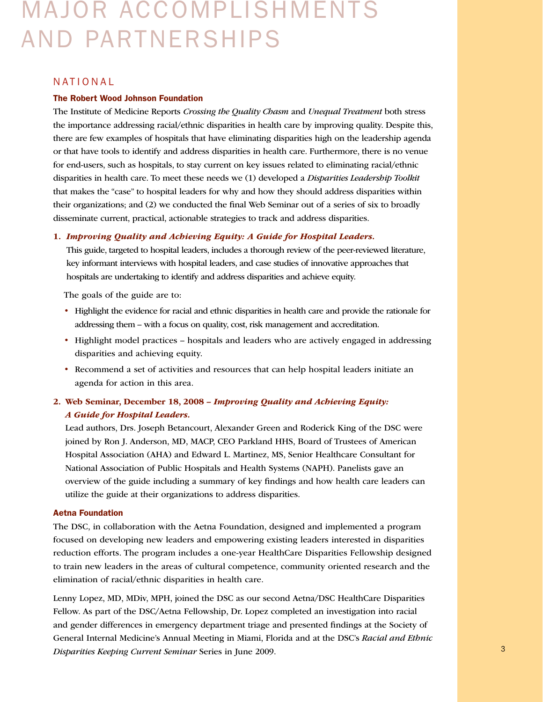# Major Accomplishments and Partnerships

#### **NATIONAL**

#### The Robert Wood Johnson Foundation

The Institute of Medicine Reports *Crossing the Quality Chasm* and *Unequal Treatment* both stress the importance addressing racial/ethnic disparities in health care by improving quality. Despite this, there are few examples of hospitals that have eliminating disparities high on the leadership agenda or that have tools to identify and address disparities in health care. Furthermore, there is no venue for end-users, such as hospitals, to stay current on key issues related to eliminating racial/ethnic disparities in health care. To meet these needs we (1) developed a *Disparities Leadership Toolkit* that makes the "case" to hospital leaders for why and how they should address disparities within their organizations; and (2) we conducted the final Web Seminar out of a series of six to broadly disseminate current, practical, actionable strategies to track and address disparities.

#### 1. *Improving Quality and Achieving Equity: A Guide for Hospital Leaders.*

This guide, targeted to hospital leaders, includes a thorough review of the peer-reviewed literature, key informant interviews with hospital leaders, and case studies of innovative approaches that hospitals are undertaking to identify and address disparities and achieve equity.

The goals of the guide are to:

- Highlight the evidence for racial and ethnic disparities in health care and provide the rationale for addressing them – with a focus on quality, cost, risk management and accreditation.
- Highlight model practices hospitals and leaders who are actively engaged in addressing disparities and achieving equity.
- Recommend a set of activities and resources that can help hospital leaders initiate an agenda for action in this area.

## 2. Web Seminar, December 18, 2008 – *Improving Quality and Achieving Equity: A Guide for Hospital Leaders.*

Lead authors, Drs. Joseph Betancourt, Alexander Green and Roderick King of the DSC were joined by Ron J. Anderson, MD, MACP, CEO Parkland HHS, Board of Trustees of American Hospital Association (AHA) and Edward L. Martinez, MS, Senior Healthcare Consultant for National Association of Public Hospitals and Health Systems (NAPH). Panelists gave an overview of the guide including a summary of key findings and how health care leaders can utilize the guide at their organizations to address disparities.

#### Aetna Foundation

The DSC, in collaboration with the Aetna Foundation, designed and implemented a program focused on developing new leaders and empowering existing leaders interested in disparities reduction efforts. The program includes a one-year HealthCare Disparities Fellowship designed to train new leaders in the areas of cultural competence, community oriented research and the elimination of racial/ethnic disparities in health care.

2 3 *Disparities Keeping Current Seminar* Series in June 2009. Lenny Lopez, MD, MDiv, MPH, joined the DSC as our second Aetna/DSC HealthCare Disparities Fellow. As part of the DSC/Aetna Fellowship, Dr. Lopez completed an investigation into racial and gender differences in emergency department triage and presented findings at the Society of General Internal Medicine's Annual Meeting in Miami, Florida and at the DSC's *Racial and Ethnic*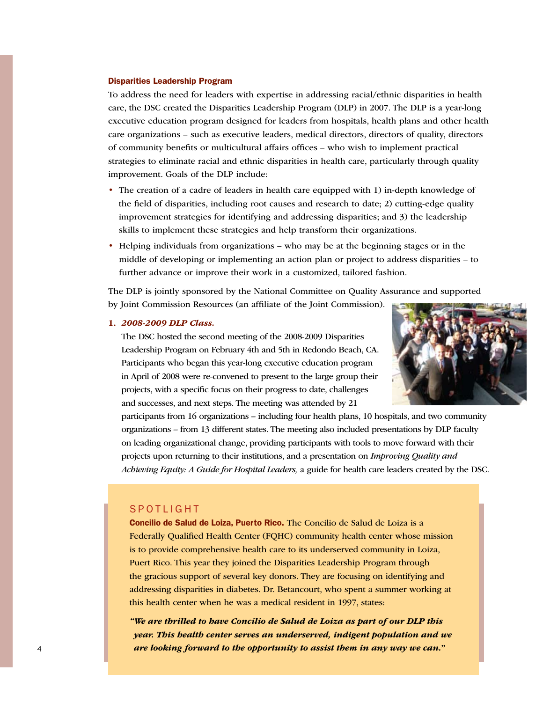#### Disparities Leadership Program

To address the need for leaders with expertise in addressing racial/ethnic disparities in health care, the DSC created the Disparities Leadership Program (DLP) in 2007. The DLP is a year-long executive education program designed for leaders from hospitals, health plans and other health care organizations – such as executive leaders, medical directors, directors of quality, directors of community benefits or multicultural affairs offices – who wish to implement practical strategies to eliminate racial and ethnic disparities in health care, particularly through quality improvement. Goals of the DLP include:

- The creation of a cadre of leaders in health care equipped with 1) in-depth knowledge of the field of disparities, including root causes and research to date; 2) cutting-edge quality improvement strategies for identifying and addressing disparities; and 3) the leadership skills to implement these strategies and help transform their organizations.
- Helping individuals from organizations who may be at the beginning stages or in the middle of developing or implementing an action plan or project to address disparities – to further advance or improve their work in a customized, tailored fashion.

The DLP is jointly sponsored by the National Committee on Quality Assurance and supported by Joint Commission Resources (an affiliate of the Joint Commission).

#### 1. *2008-2009 DLP Class.*

The DSC hosted the second meeting of the 2008-2009 Disparities Leadership Program on February 4th and 5th in Redondo Beach, CA. Participants who began this year-long executive education program in April of 2008 were re-convened to present to the large group their projects, with a specific focus on their progress to date, challenges and successes, and next steps. The meeting was attended by 21



participants from 16 organizations – including four health plans, 10 hospitals, and two community organizations – from 13 different states. The meeting also included presentations by DLP faculty on leading organizational change, providing participants with tools to move forward with their projects upon returning to their institutions, and a presentation on *Improving Quality and Achieving Equity: A Guide for Hospital Leaders,* a guide for health care leaders created by the DSC.

### **SPOTLIGHT**

Concilio de Salud de Loiza, Puerto Rico. The Concilio de Salud de Loiza is a Federally Qualified Health Center (FQHC) community health center whose mission is to provide comprehensive health care to its underserved community in Loiza, Puert Rico. This year they joined the Disparities Leadership Program through the gracious support of several key donors. They are focusing on identifying and addressing disparities in diabetes. Dr. Betancourt, who spent a summer working at this health center when he was a medical resident in 1997, states:

4 5 *are looking forward to the opportunity to assist them in any way we can.""We are thrilled to have Concilio de Salud de Loiza as part of our DLP this year. This health center serves an underserved, indigent population and we*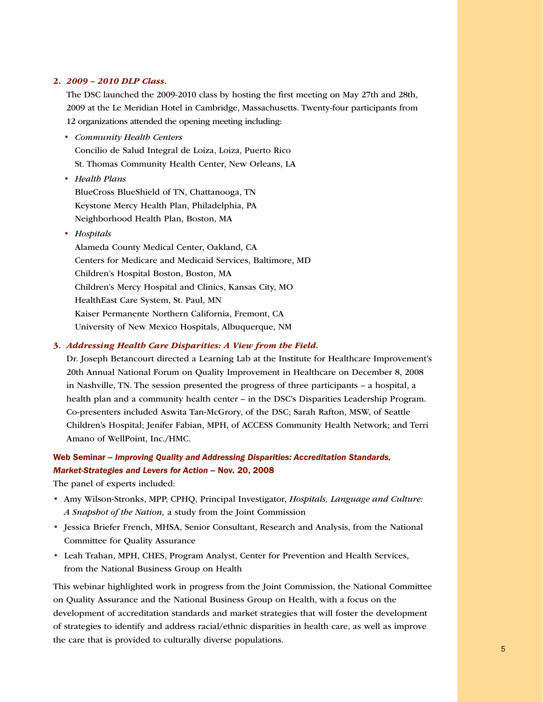#### 2. *2009 – 2010 DLP Class.*

The DSC launched the 2009-2010 class by hosting the first meeting on May 27th and 28th, 2009 at the Le Meridian Hotel in Cambridge, Massachusetts. Twenty-four participants from 12 organizations attended the opening meeting including:

- *Community Health Centers* Concilio de Salud Integral de Loiza, Loiza, Puerto Rico St. Thomas Community Health Center, New Orleans, LA
- *Health Plans* BlueCross BlueShield of TN, Chattanooga, TN Keystone Mercy Health Plan, Philadelphia, PA Neighborhood Health Plan, Boston, MA
- *Hospitals*

Alameda County Medical Center, Oakland, CA Centers for Medicare and Medicaid Services, Baltimore, MD Children's Hospital Boston, Boston, MA Children's Mercy Hospital and Clinics, Kansas City, MO HealthEast Care System, St. Paul, MN Kaiser Permanente Northern California, Fremont, CA University of New Mexico Hospitals, Albuquerque, NM

### 3. *Addressing Health Care Disparities: A View from the Field.*

Dr. Joseph Betancourt directed a Learning Lab at the Institute for Healthcare Improvement's 20th Annual National Forum on Quality Improvement in Healthcare on December 8, 2008 in Nashville, TN. The session presented the progress of three participants – a hospital, a health plan and a community health center – in the DSC's Disparities Leadership Program. Co-presenters included Aswita Tan-McGrory, of the DSC; Sarah Rafton, MSW, of Seattle Children's Hospital; Jenifer Fabian, MPH, of ACCESS Community Health Network; and Terri Amano of WellPoint, Inc./HMC.

## Web Seminar – *Improving Quality and Addressing Disparities: Accreditation Standards, Market-Strategies and Levers for Action* – Nov. 20, 2008

The panel of experts included:

- Amy Wilson-Stronks, MPP, CPHQ, Principal Investigator, *Hospitals, Language and Culture: A Snapshot of the Nation,* a study from the Joint Commission
- Jessica Briefer French, MHSA, Senior Consultant, Research and Analysis, from the National Committee for Quality Assurance
- Leah Trahan, MPH, CHES, Program Analyst, Center for Prevention and Health Services, from the National Business Group on Health

This webinar highlighted work in progress from the Joint Commission, the National Committee on Quality Assurance and the National Business Group on Health, with a focus on the development of accreditation standards and market strategies that will foster the development of strategies to identify and address racial/ethnic disparities in health care, as well as improve the care that is provided to culturally diverse populations.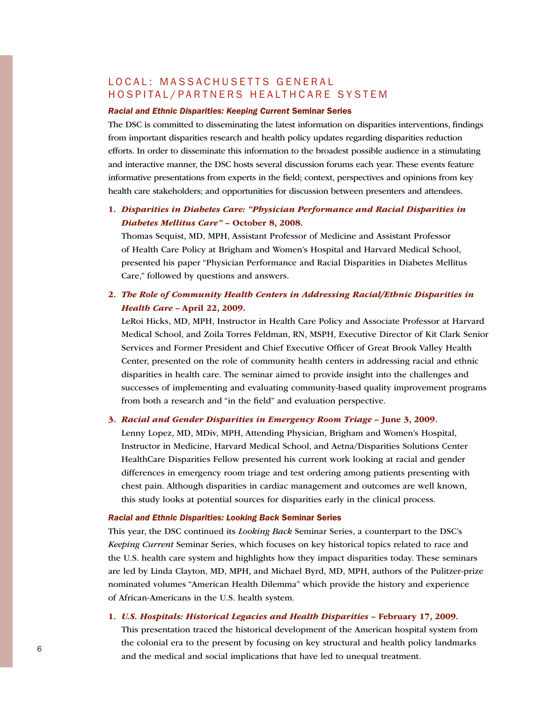## LOCAL: MASSACHUSETTS GENERAL HOSPITAL/PARTNERS HEALTHCARE SYSTEM

#### *Racial and Ethnic Disparities: Keeping Current* Seminar Series

The DSC is committed to disseminating the latest information on disparities interventions, findings from important disparities research and health policy updates regarding disparities reduction efforts. In order to disseminate this information to the broadest possible audience in a stimulating and interactive manner, the DSC hosts several discussion forums each year. These events feature informative presentations from experts in the field; context, perspectives and opinions from key health care stakeholders; and opportunities for discussion between presenters and attendees.

## 1. *Disparities in Diabetes Care: "Physician Performance and Racial Disparities in Diabetes Mellitus Care"* – October 8, 2008.

Thomas Sequist, MD, MPH, Assistant Professor of Medicine and Assistant Professor of Health Care Policy at Brigham and Women's Hospital and Harvard Medical School, presented his paper "Physician Performance and Racial Disparities in Diabetes Mellitus Care," followed by questions and answers.

## 2. *The Role of Community Health Centers in Addressing Racial/Ethnic Disparities in Health Care –* April 22, 2009.

LeRoi Hicks, MD, MPH, Instructor in Health Care Policy and Associate Professor at Harvard Medical School, and Zoila Torres Feldman, RN, MSPH, Executive Director of Kit Clark Senior Services and Former President and Chief Executive Officer of Great Brook Valley Health Center, presented on the role of community health centers in addressing racial and ethnic disparities in health care. The seminar aimed to provide insight into the challenges and successes of implementing and evaluating community-based quality improvement programs from both a research and "in the field" and evaluation perspective.

#### 3. *Racial and Gender Disparities in Emergency Room Triage –* June 3, 2009.

Lenny Lopez, MD, MDiv, MPH, Attending Physician, Brigham and Women's Hospital, Instructor in Medicine, Harvard Medical School, and Aetna/Disparities Solutions Center HealthCare Disparities Fellow presented his current work looking at racial and gender differences in emergency room triage and test ordering among patients presenting with chest pain. Although disparities in cardiac management and outcomes are well known, this study looks at potential sources for disparities early in the clinical process.

#### *Racial and Ethnic Disparities: Looking Back* Seminar Series

This year, the DSC continued its *Looking Back* Seminar Series, a counterpart to the DSC's *Keeping Current* Seminar Series, which focuses on key historical topics related to race and the U.S. health care system and highlights how they impact disparities today. These seminars are led by Linda Clayton, MD, MPH, and Michael Byrd, MD, MPH, authors of the Pulitzer-prize nominated volumes "American Health Dilemma" which provide the history and experience of African-Americans in the U.S. health system.

#### 1. *U.S. Hospitals: Historical Legacies and Health Disparities –* February 17, 2009.

 $\frac{6}{2}$ This presentation traced the historical development of the American hospital system from the colonial era to the present by focusing on key structural and health policy landmarks and the medical and social implications that have led to unequal treatment.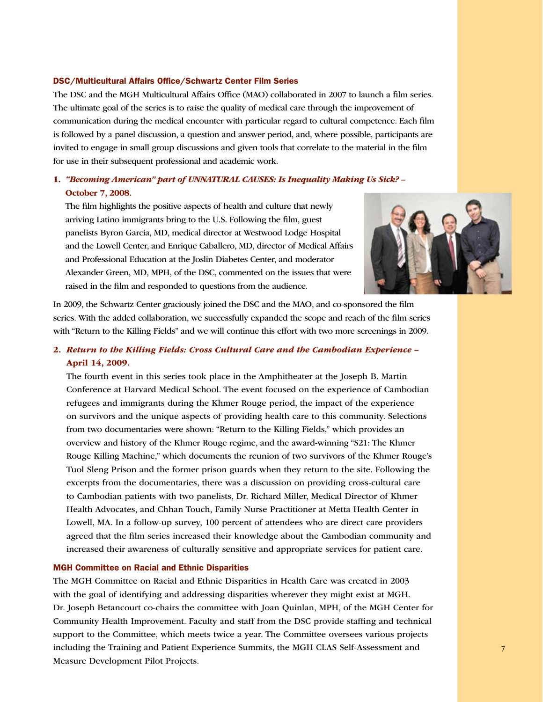#### DSC/Multicultural Affairs Office/Schwartz Center Film Series

The DSC and the MGH Multicultural Affairs Office (MAO) collaborated in 2007 to launch a film series. The ultimate goal of the series is to raise the quality of medical care through the improvement of communication during the medical encounter with particular regard to cultural competence. Each film is followed by a panel discussion, a question and answer period, and, where possible, participants are invited to engage in small group discussions and given tools that correlate to the material in the film for use in their subsequent professional and academic work.

## 1. *"Becoming American" part of UNNATURAL CAUSES: Is Inequality Making Us Sick? –* October 7, 2008.

The film highlights the positive aspects of health and culture that newly arriving Latino immigrants bring to the U.S. Following the film, guest panelists Byron Garcia, MD, medical director at Westwood Lodge Hospital and the Lowell Center, and Enrique Caballero, MD, director of Medical Affairs and Professional Education at the Joslin Diabetes Center, and moderator Alexander Green, MD, MPH, of the DSC, commented on the issues that were raised in the film and responded to questions from the audience.



In 2009, the Schwartz Center graciously joined the DSC and the MAO, and co-sponsored the film series. With the added collaboration, we successfully expanded the scope and reach of the film series with "Return to the Killing Fields" and we will continue this effort with two more screenings in 2009.

## 2. *Return to the Killing Fields: Cross Cultural Care and the Cambodian Experience –* April 14, 2009.

The fourth event in this series took place in the Amphitheater at the Joseph B. Martin Conference at Harvard Medical School. The event focused on the experience of Cambodian refugees and immigrants during the Khmer Rouge period, the impact of the experience on survivors and the unique aspects of providing health care to this community. Selections from two documentaries were shown: "Return to the Killing Fields," which provides an overview and history of the Khmer Rouge regime, and the award-winning "S21: The Khmer Rouge Killing Machine," which documents the reunion of two survivors of the Khmer Rouge's Tuol Sleng Prison and the former prison guards when they return to the site. Following the excerpts from the documentaries, there was a discussion on providing cross-cultural care to Cambodian patients with two panelists, Dr. Richard Miller, Medical Director of Khmer Health Advocates, and Chhan Touch, Family Nurse Practitioner at Metta Health Center in Lowell, MA. In a follow-up survey, 100 percent of attendees who are direct care providers agreed that the film series increased their knowledge about the Cambodian community and increased their awareness of culturally sensitive and appropriate services for patient care.

#### MGH Committee on Racial and Ethnic Disparities

including the Training and Patient Experience Summits, the MGH CLAS Self-Assessment and T The MGH Committee on Racial and Ethnic Disparities in Health Care was created in 2003 with the goal of identifying and addressing disparities wherever they might exist at MGH. Dr. Joseph Betancourt co-chairs the committee with Joan Quinlan, MPH, of the MGH Center for Community Health Improvement. Faculty and staff from the DSC provide staffing and technical support to the Committee, which meets twice a year. The Committee oversees various projects Measure Development Pilot Projects.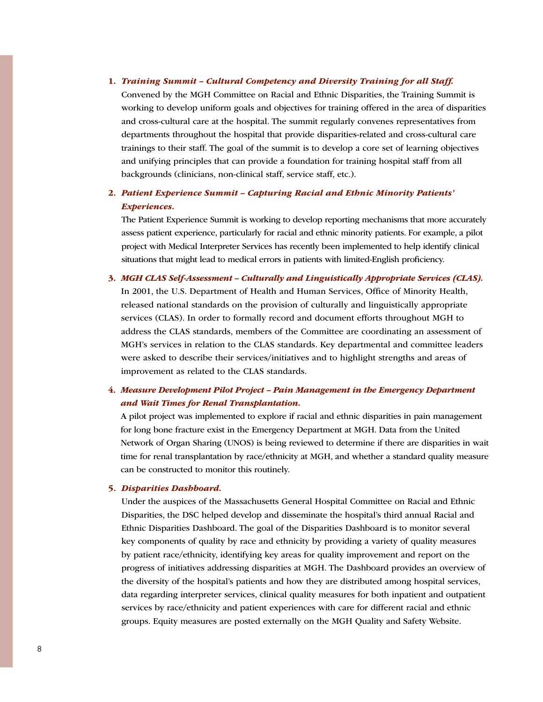#### 1. *Training Summit – Cultural Competency and Diversity Training for all Staff.*

Convened by the MGH Committee on Racial and Ethnic Disparities, the Training Summit is working to develop uniform goals and objectives for training offered in the area of disparities and cross-cultural care at the hospital. The summit regularly convenes representatives from departments throughout the hospital that provide disparities-related and cross-cultural care trainings to their staff. The goal of the summit is to develop a core set of learning objectives and unifying principles that can provide a foundation for training hospital staff from all backgrounds (clinicians, non-clinical staff, service staff, etc.).

## 2. *Patient Experience Summit – Capturing Racial and Ethnic Minority Patients' Experiences.*

The Patient Experience Summit is working to develop reporting mechanisms that more accurately assess patient experience, particularly for racial and ethnic minority patients. For example, a pilot project with Medical Interpreter Services has recently been implemented to help identify clinical situations that might lead to medical errors in patients with limited-English proficiency.

3. *MGH CLAS Self-Assessment – Culturally and Linguistically Appropriate Services (CLAS).*  In 2001, the U.S. Department of Health and Human Services, Office of Minority Health, released national standards on the provision of culturally and linguistically appropriate services (CLAS). In order to formally record and document efforts throughout MGH to address the CLAS standards, members of the Committee are coordinating an assessment of MGH's services in relation to the CLAS standards. Key departmental and committee leaders were asked to describe their services/initiatives and to highlight strengths and areas of improvement as related to the CLAS standards.

## 4. *Measure Development Pilot Project – Pain Management in the Emergency Department and Wait Times for Renal Transplantation.*

A pilot project was implemented to explore if racial and ethnic disparities in pain management for long bone fracture exist in the Emergency Department at MGH. Data from the United Network of Organ Sharing (UNOS) is being reviewed to determine if there are disparities in wait time for renal transplantation by race/ethnicity at MGH, and whether a standard quality measure can be constructed to monitor this routinely.

#### 5. *Disparities Dashboard.*

Under the auspices of the Massachusetts General Hospital Committee on Racial and Ethnic Disparities, the DSC helped develop and disseminate the hospital's third annual Racial and Ethnic Disparities Dashboard. The goal of the Disparities Dashboard is to monitor several key components of quality by race and ethnicity by providing a variety of quality measures by patient race/ethnicity, identifying key areas for quality improvement and report on the progress of initiatives addressing disparities at MGH. The Dashboard provides an overview of the diversity of the hospital's patients and how they are distributed among hospital services, data regarding interpreter services, clinical quality measures for both inpatient and outpatient services by race/ethnicity and patient experiences with care for different racial and ethnic groups. Equity measures are posted externally on the MGH Quality and Safety Website.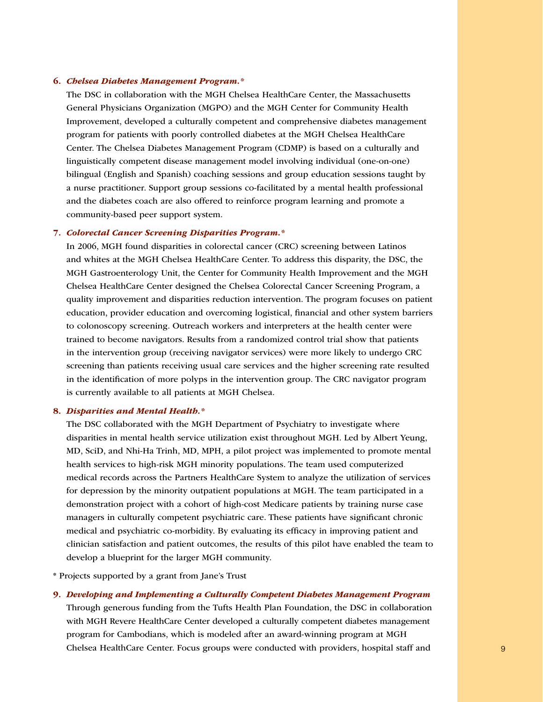#### 6. *Chelsea Diabetes Management Program.\**

The DSC in collaboration with the MGH Chelsea HealthCare Center, the Massachusetts General Physicians Organization (MGPO) and the MGH Center for Community Health Improvement, developed a culturally competent and comprehensive diabetes management program for patients with poorly controlled diabetes at the MGH Chelsea HealthCare Center. The Chelsea Diabetes Management Program (CDMP) is based on a culturally and linguistically competent disease management model involving individual (one-on-one) bilingual (English and Spanish) coaching sessions and group education sessions taught by a nurse practitioner. Support group sessions co-facilitated by a mental health professional and the diabetes coach are also offered to reinforce program learning and promote a community-based peer support system.

#### 7. *Colorectal Cancer Screening Disparities Program.\**

In 2006, MGH found disparities in colorectal cancer (CRC) screening between Latinos and whites at the MGH Chelsea HealthCare Center. To address this disparity, the DSC, the MGH Gastroenterology Unit, the Center for Community Health Improvement and the MGH Chelsea HealthCare Center designed the Chelsea Colorectal Cancer Screening Program, a quality improvement and disparities reduction intervention. The program focuses on patient education, provider education and overcoming logistical, financial and other system barriers to colonoscopy screening. Outreach workers and interpreters at the health center were trained to become navigators. Results from a randomized control trial show that patients in the intervention group (receiving navigator services) were more likely to undergo CRC screening than patients receiving usual care services and the higher screening rate resulted in the identification of more polyps in the intervention group. The CRC navigator program is currently available to all patients at MGH Chelsea.

#### 8. *Disparities and Mental Health.\**

The DSC collaborated with the MGH Department of Psychiatry to investigate where disparities in mental health service utilization exist throughout MGH. Led by Albert Yeung, MD, SciD, and Nhi-Ha Trinh, MD, MPH, a pilot project was implemented to promote mental health services to high-risk MGH minority populations. The team used computerized medical records across the Partners HealthCare System to analyze the utilization of services for depression by the minority outpatient populations at MGH. The team participated in a demonstration project with a cohort of high-cost Medicare patients by training nurse case managers in culturally competent psychiatric care. These patients have significant chronic medical and psychiatric co-morbidity. By evaluating its efficacy in improving patient and clinician satisfaction and patient outcomes, the results of this pilot have enabled the team to develop a blueprint for the larger MGH community.

\* Projects supported by a grant from Jane's Trust

8 1 8 9 Chelsea HealthCare Center. Focus groups were conducted with providers, hospital staff and 9. *Developing and Implementing a Culturally Competent Diabetes Management Program* Through generous funding from the Tufts Health Plan Foundation, the DSC in collaboration with MGH Revere HealthCare Center developed a culturally competent diabetes management program for Cambodians, which is modeled after an award-winning program at MGH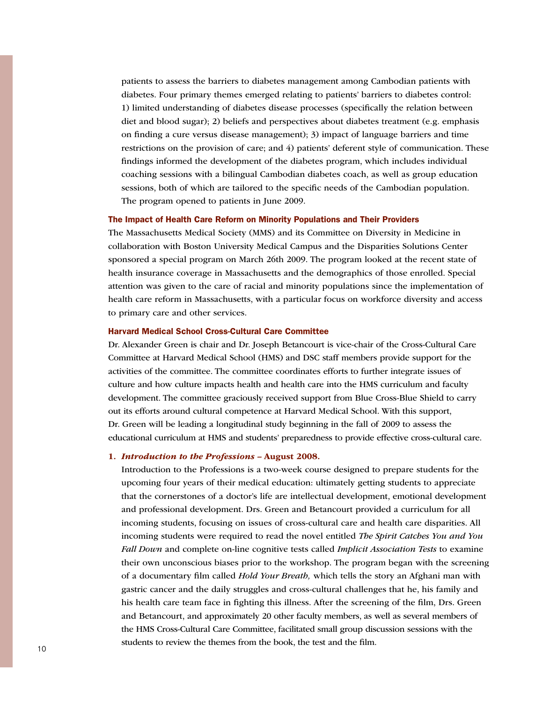patients to assess the barriers to diabetes management among Cambodian patients with diabetes. Four primary themes emerged relating to patients' barriers to diabetes control: 1) limited understanding of diabetes disease processes (specifically the relation between diet and blood sugar); 2) beliefs and perspectives about diabetes treatment (e.g. emphasis on finding a cure versus disease management); 3) impact of language barriers and time restrictions on the provision of care; and 4) patients' deferent style of communication. These findings informed the development of the diabetes program, which includes individual coaching sessions with a bilingual Cambodian diabetes coach, as well as group education sessions, both of which are tailored to the specific needs of the Cambodian population. The program opened to patients in June 2009.

#### The Impact of Health Care Reform on Minority Populations and Their Providers

The Massachusetts Medical Society (MMS) and its Committee on Diversity in Medicine in collaboration with Boston University Medical Campus and the Disparities Solutions Center sponsored a special program on March 26th 2009. The program looked at the recent state of health insurance coverage in Massachusetts and the demographics of those enrolled. Special attention was given to the care of racial and minority populations since the implementation of health care reform in Massachusetts, with a particular focus on workforce diversity and access to primary care and other services.

#### Harvard Medical School Cross-Cultural Care Committee

Dr. Alexander Green is chair and Dr. Joseph Betancourt is vice-chair of the Cross-Cultural Care Committee at Harvard Medical School (HMS) and DSC staff members provide support for the activities of the committee. The committee coordinates efforts to further integrate issues of culture and how culture impacts health and health care into the HMS curriculum and faculty development. The committee graciously received support from Blue Cross-Blue Shield to carry out its efforts around cultural competence at Harvard Medical School. With this support, Dr. Green will be leading a longitudinal study beginning in the fall of 2009 to assess the educational curriculum at HMS and students' preparedness to provide effective cross-cultural care.

#### 1. *Introduction to the Professions –* August 2008.

 $10$ Introduction to the Professions is a two-week course designed to prepare students for the upcoming four years of their medical education: ultimately getting students to appreciate that the cornerstones of a doctor's life are intellectual development, emotional development and professional development. Drs. Green and Betancourt provided a curriculum for all incoming students, focusing on issues of cross-cultural care and health care disparities. All incoming students were required to read the novel entitled *The Spirit Catches You and You Fall Down* and complete on-line cognitive tests called *Implicit Association Tests* to examine their own unconscious biases prior to the workshop. The program began with the screening of a documentary film called *Hold Your Breath,* which tells the story an Afghani man with gastric cancer and the daily struggles and cross-cultural challenges that he, his family and his health care team face in fighting this illness. After the screening of the film, Drs. Green and Betancourt, and approximately 20 other faculty members, as well as several members of the HMS Cross-Cultural Care Committee, facilitated small group discussion sessions with the students to review the themes from the book, the test and the film.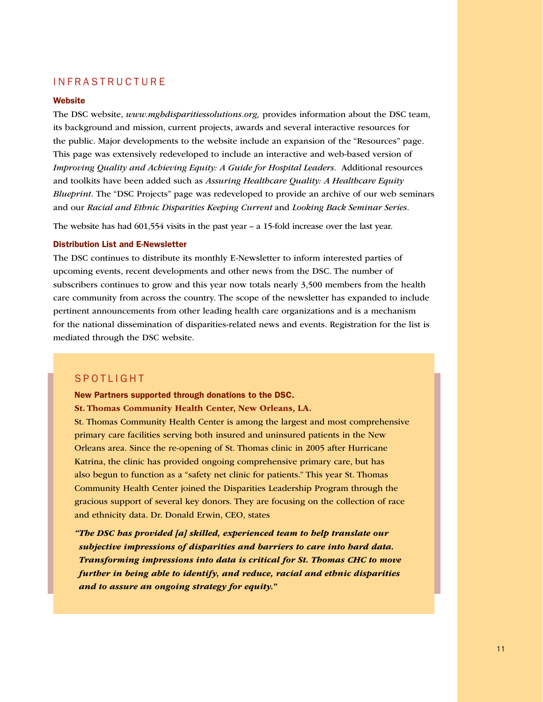### **INFRASTRUCTURE**

#### **Website**

The DSC website, *www.mghdisparitiessolutions.org,* provides information about the DSC team, its background and mission, current projects, awards and several interactive resources for the public. Major developments to the website include an expansion of the "Resources" page. This page was extensively redeveloped to include an interactive and web-based version of *Improving Quality and Achieving Equity: A Guide for Hospital Leaders.* Additional resources and toolkits have been added such as *Assuring Healthcare Quality: A Healthcare Equity Blueprint.* The "DSC Projects" page was redeveloped to provide an archive of our web seminars and our *Racial and Ethnic Disparities Keeping Current* and *Looking Back Seminar Series.*

The website has had  $601,554$  visits in the past year – a 15-fold increase over the last year.

#### Distribution List and E-Newsletter

The DSC continues to distribute its monthly E-Newsletter to inform interested parties of upcoming events, recent developments and other news from the DSC. The number of subscribers continues to grow and this year now totals nearly 3,500 members from the health care community from across the country. The scope of the newsletter has expanded to include pertinent announcements from other leading health care organizations and is a mechanism for the national dissemination of disparities-related news and events. Registration for the list is mediated through the DSC website.

### **SPOTLIGHT**

New Partners supported through donations to the DSC.

St. Thomas Community Health Center, New Orleans, LA.

St. Thomas Community Health Center is among the largest and most comprehensive primary care facilities serving both insured and uninsured patients in the New Orleans area. Since the re-opening of St. Thomas clinic in 2005 after Hurricane Katrina, the clinic has provided ongoing comprehensive primary care, but has also begun to function as a "safety net clinic for patients." This year St. Thomas Community Health Center joined the Disparities Leadership Program through the gracious support of several key donors. They are focusing on the collection of race and ethnicity data. Dr. Donald Erwin, CEO, states

*"The DSC has provided [a] skilled, experienced team to help translate our subjective impressions of disparities and barriers to care into hard data. Transforming impressions into data is critical for St. Thomas CHC to move further in being able to identify, and reduce, racial and ethnic disparities and to assure an ongoing strategy for equity."*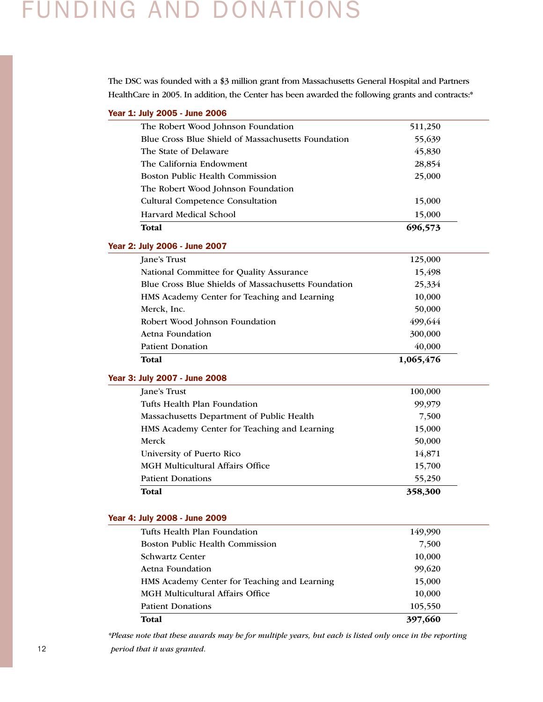## Funding and Donations

The DSC was founded with a \$3 million grant from Massachusetts General Hospital and Partners HealthCare in 2005. In addition, the Center has been awarded the following grants and contracts:\*

|  |  |  |  | Year 1: July 2005 - June 2006 |  |
|--|--|--|--|-------------------------------|--|
|--|--|--|--|-------------------------------|--|

| Total                                              | 696,573 |
|----------------------------------------------------|---------|
| Harvard Medical School                             | 15,000  |
| <b>Cultural Competence Consultation</b>            | 15,000  |
| The Robert Wood Johnson Foundation                 |         |
| Boston Public Health Commission                    | 25,000  |
| The California Endowment                           | 28,854  |
| The State of Delaware                              | 45,830  |
| Blue Cross Blue Shield of Massachusetts Foundation | 55,639  |
| The Robert Wood Johnson Foundation                 | 511,250 |

## Year 2: July 2006 - June 2007

| <b>Total</b>                                        | 1,065,476 |
|-----------------------------------------------------|-----------|
| <b>Patient Donation</b>                             | 40,000    |
| Aetna Foundation                                    | 300,000   |
| Robert Wood Johnson Foundation                      | 499,644   |
| Merck, Inc.                                         | 50,000    |
| HMS Academy Center for Teaching and Learning        | 10,000    |
| Blue Cross Blue Shields of Massachusetts Foundation | 25,334    |
| National Committee for Quality Assurance            | 15,498    |
| Jane's Trust                                        | 125,000   |

### Year 3: July 2007 - June 2008

| Total                                        | 358,300 |
|----------------------------------------------|---------|
| <b>Patient Donations</b>                     | 55,250  |
| <b>MGH Multicultural Affairs Office</b>      | 15,700  |
| University of Puerto Rico                    | 14,871  |
| Merck                                        | 50,000  |
| HMS Academy Center for Teaching and Learning | 15,000  |
| Massachusetts Department of Public Health    | 7,500   |
| Tufts Health Plan Foundation                 | 99,979  |
| Jane's Trust                                 | 100,000 |

#### Year 4: July 2008 - June 2009

| Total                                        | 397,660 |
|----------------------------------------------|---------|
| <b>Patient Donations</b>                     | 105,550 |
| MGH Multicultural Affairs Office             | 10,000  |
| HMS Academy Center for Teaching and Learning | 15,000  |
| Aetna Foundation                             | 99,620  |
| Schwartz Center                              | 10,000  |
| Boston Public Health Commission              | 7,500   |
| Tufts Health Plan Foundation                 | 149,990 |

12 **12** *Deriod that it was granted. CONSERVANT**CONSERVANT**CONSERVANT**CONSERVANT**CONSERVANT**CONSERVANT**CONSERVANT**CONSERVANT* **<b>CONSERVANT CONSERVANT CONSERVANT CONSERVANT CONSERVANT CONSERVANT** *\*Please note that these awards may be for multiple years, but each is listed only once in the reporting period that it was granted.*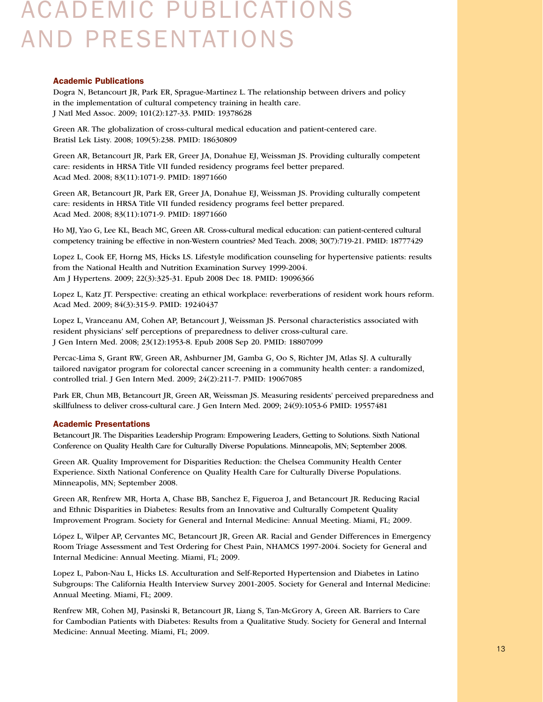## Academic Publications and Presentations

#### Academic Publications

Dogra N, Betancourt JR, Park ER, Sprague-Martinez L. The relationship between drivers and policy in the implementation of cultural competency training in health care. J Natl Med Assoc. 2009; 101(2):127-33. PMID: 19378628

Green AR. The globalization of cross-cultural medical education and patient-centered care. Bratisl Lek Listy. 2008; 109(5):238. PMID: 18630809

Green AR, Betancourt JR, Park ER, Greer JA, Donahue EJ, Weissman JS. Providing culturally competent care: residents in HRSA Title VII funded residency programs feel better prepared. Acad Med. 2008; 83(11):1071-9. PMID: 18971660

Green AR, Betancourt JR, Park ER, Greer JA, Donahue EJ, Weissman JS. Providing culturally competent care: residents in HRSA Title VII funded residency programs feel better prepared. Acad Med. 2008; 83(11):1071-9. PMID: 18971660

Ho MJ, Yao G, Lee KL, Beach MC, Green AR. Cross-cultural medical education: can patient-centered cultural competency training be effective in non-Western countries? Med Teach. 2008; 30(7):719-21. PMID: 18777429

Lopez L, Cook EF, Horng MS, Hicks LS. Lifestyle modification counseling for hypertensive patients: results from the National Health and Nutrition Examination Survey 1999-2004. Am J Hypertens. 2009; 22(3):325-31. Epub 2008 Dec 18. PMID: 19096366

Lopez L, Katz JT. Perspective: creating an ethical workplace: reverberations of resident work hours reform. Acad Med. 2009; 84(3):315-9. PMID: 19240437

Lopez L, Vranceanu AM, Cohen AP, Betancourt J, Weissman JS. Personal characteristics associated with resident physicians' self perceptions of preparedness to deliver cross-cultural care. J Gen Intern Med. 2008; 23(12):1953-8. Epub 2008 Sep 20. PMID: 18807099

Percac-Lima S, Grant RW, Green AR, Ashburner JM, Gamba G, Oo S, Richter JM, Atlas SJ. A culturally tailored navigator program for colorectal cancer screening in a community health center: a randomized, controlled trial. J Gen Intern Med. 2009; 24(2):211-7. PMID: 19067085

Park ER, Chun MB, Betancourt JR, Green AR, Weissman JS. Measuring residents' perceived preparedness and skillfulness to deliver cross-cultural care. J Gen Intern Med. 2009; 24(9):1053-6 PMID: 19557481

#### Academic Presentations

Betancourt JR. The Disparities Leadership Program: Empowering Leaders, Getting to Solutions. Sixth National Conference on Quality Health Care for Culturally Diverse Populations. Minneapolis, MN; September 2008.

Green AR. Quality Improvement for Disparities Reduction: the Chelsea Community Health Center Experience. Sixth National Conference on Quality Health Care for Culturally Diverse Populations. Minneapolis, MN; September 2008.

Green AR, Renfrew MR, Horta A, Chase BB, Sanchez E, Figueroa J, and Betancourt JR. Reducing Racial and Ethnic Disparities in Diabetes: Results from an Innovative and Culturally Competent Quality Improvement Program. Society for General and Internal Medicine: Annual Meeting. Miami, FL; 2009.

López L, Wilper AP, Cervantes MC, Betancourt JR, Green AR. Racial and Gender Differences in Emergency Room Triage Assessment and Test Ordering for Chest Pain, NHAMCS 1997-2004. Society for General and Internal Medicine: Annual Meeting. Miami, FL; 2009.

Lopez L, Pabon-Nau L, Hicks LS. Acculturation and Self-Reported Hypertension and Diabetes in Latino Subgroups: The California Health Interview Survey 2001-2005. Society for General and Internal Medicine: Annual Meeting. Miami, FL; 2009.

Renfrew MR, Cohen MJ, Pasinski R, Betancourt JR, Liang S, Tan-McGrory A, Green AR. Barriers to Care for Cambodian Patients with Diabetes: Results from a Qualitative Study. Society for General and Internal Medicine: Annual Meeting. Miami, FL; 2009.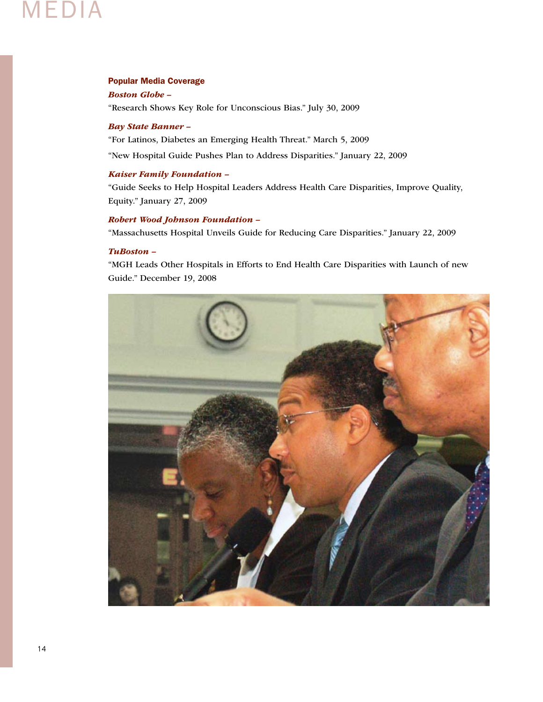## Media

#### Popular Media Coverage

*Boston Globe –* 

"Research Shows Key Role for Unconscious Bias." July 30, 2009

#### *Bay State Banner –*

"For Latinos, Diabetes an Emerging Health Threat." March 5, 2009

"New Hospital Guide Pushes Plan to Address Disparities." January 22, 2009

#### *Kaiser Family Foundation –*

"Guide Seeks to Help Hospital Leaders Address Health Care Disparities, Improve Quality, Equity." January 27, 2009

#### *Robert Wood Johnson Foundation –*

"Massachusetts Hospital Unveils Guide for Reducing Care Disparities." January 22, 2009

### *TuBoston –*

"MGH Leads Other Hospitals in Efforts to End Health Care Disparities with Launch of new Guide." December 19, 2008

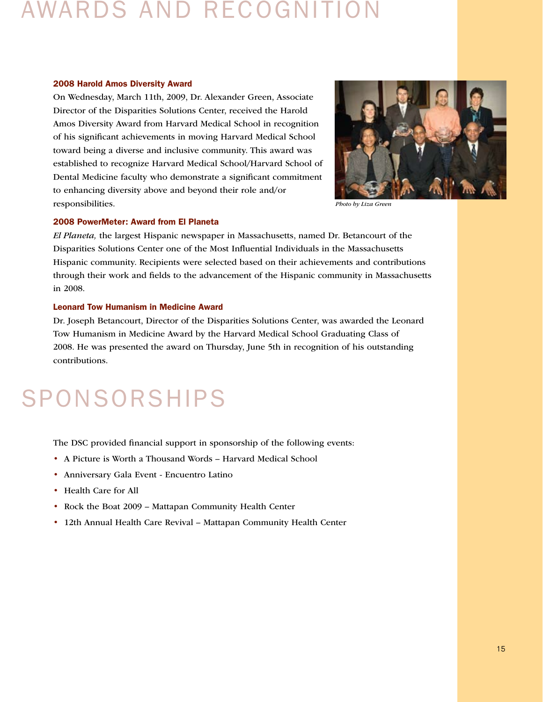## Awards and Recognition

#### 2008 Harold Amos Diversity Award

On Wednesday, March 11th, 2009, Dr. Alexander Green, Associate Director of the Disparities Solutions Center, received the Harold Amos Diversity Award from Harvard Medical School in recognition of his significant achievements in moving Harvard Medical School toward being a diverse and inclusive community. This award was established to recognize Harvard Medical School/Harvard School of Dental Medicine faculty who demonstrate a significant commitment to enhancing diversity above and beyond their role and/or responsibilities.



*Photo by Liza Green*

#### 2008 PowerMeter: Award from El Planeta

*El Planeta,* the largest Hispanic newspaper in Massachusetts, named Dr. Betancourt of the Disparities Solutions Center one of the Most Influential Individuals in the Massachusetts Hispanic community. Recipients were selected based on their achievements and contributions through their work and fields to the advancement of the Hispanic community in Massachusetts in 2008.

#### Leonard Tow Humanism in Medicine Award

Dr. Joseph Betancourt, Director of the Disparities Solutions Center, was awarded the Leonard Tow Humanism in Medicine Award by the Harvard Medical School Graduating Class of 2008. He was presented the award on Thursday, June 5th in recognition of his outstanding contributions.

# **SPONSORSHIPS**

The DSC provided financial support in sponsorship of the following events:

- A Picture is Worth a Thousand Words Harvard Medical School
- Anniversary Gala Event Encuentro Latino
- Health Care for All
- Rock the Boat 2009 Mattapan Community Health Center
- 12th Annual Health Care Revival Mattapan Community Health Center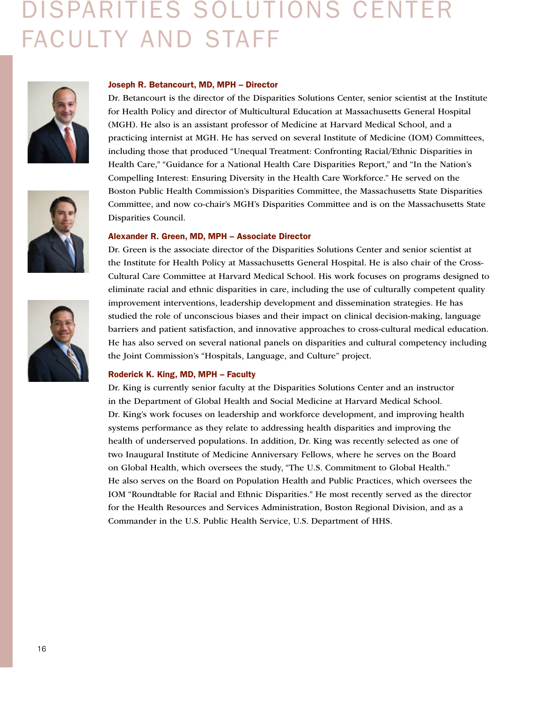# Disparities Solutions Center Faculty and Staff







#### Joseph R. Betancourt, MD, MPH – Director

Dr. Betancourt is the director of the Disparities Solutions Center, senior scientist at the Institute for Health Policy and director of Multicultural Education at Massachusetts General Hospital (MGH). He also is an assistant professor of Medicine at Harvard Medical School, and a practicing internist at MGH. He has served on several Institute of Medicine (IOM) Committees, including those that produced "Unequal Treatment: Confronting Racial/Ethnic Disparities in Health Care," "Guidance for a National Health Care Disparities Report," and "In the Nation's Compelling Interest: Ensuring Diversity in the Health Care Workforce." He served on the Boston Public Health Commission's Disparities Committee, the Massachusetts State Disparities Committee, and now co-chair's MGH's Disparities Committee and is on the Massachusetts State Disparities Council.

#### Alexander R. Green, MD, MPH – Associate Director

Dr. Green is the associate director of the Disparities Solutions Center and senior scientist at the Institute for Health Policy at Massachusetts General Hospital. He is also chair of the Cross-Cultural Care Committee at Harvard Medical School. His work focuses on programs designed to eliminate racial and ethnic disparities in care, including the use of culturally competent quality improvement interventions, leadership development and dissemination strategies. He has studied the role of unconscious biases and their impact on clinical decision-making, language barriers and patient satisfaction, and innovative approaches to cross-cultural medical education. He has also served on several national panels on disparities and cultural competency including the Joint Commission's "Hospitals, Language, and Culture" project.

#### Roderick K. King, MD, MPH – Faculty

Dr. King is currently senior faculty at the Disparities Solutions Center and an instructor in the Department of Global Health and Social Medicine at Harvard Medical School. Dr. King's work focuses on leadership and workforce development, and improving health systems performance as they relate to addressing health disparities and improving the health of underserved populations. In addition, Dr. King was recently selected as one of two Inaugural Institute of Medicine Anniversary Fellows, where he serves on the Board on Global Health, which oversees the study, "The U.S. Commitment to Global Health." He also serves on the Board on Population Health and Public Practices, which oversees the IOM "Roundtable for Racial and Ethnic Disparities." He most recently served as the director for the Health Resources and Services Administration, Boston Regional Division, and as a Commander in the U.S. Public Health Service, U.S. Department of HHS.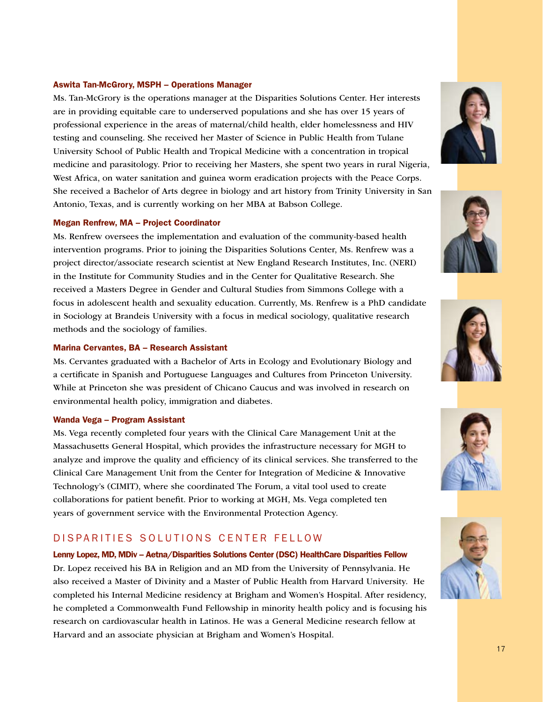#### Aswita Tan-McGrory, MSPH – Operations Manager

Ms. Tan-McGrory is the operations manager at the Disparities Solutions Center. Her interests are in providing equitable care to underserved populations and she has over 15 years of professional experience in the areas of maternal/child health, elder homelessness and HIV testing and counseling. She received her Master of Science in Public Health from Tulane University School of Public Health and Tropical Medicine with a concentration in tropical medicine and parasitology. Prior to receiving her Masters, she spent two years in rural Nigeria, West Africa, on water sanitation and guinea worm eradication projects with the Peace Corps. She received a Bachelor of Arts degree in biology and art history from Trinity University in San Antonio, Texas, and is currently working on her MBA at Babson College.

#### Megan Renfrew, MA – Project Coordinator

Ms. Renfrew oversees the implementation and evaluation of the community-based health intervention programs. Prior to joining the Disparities Solutions Center, Ms. Renfrew was a project director/associate research scientist at New England Research Institutes, Inc. (NERI) in the Institute for Community Studies and in the Center for Qualitative Research. She received a Masters Degree in Gender and Cultural Studies from Simmons College with a focus in adolescent health and sexuality education. Currently, Ms. Renfrew is a PhD candidate in Sociology at Brandeis University with a focus in medical sociology, qualitative research methods and the sociology of families.

#### Marina Cervantes, BA – Research Assistant

Ms. Cervantes graduated with a Bachelor of Arts in Ecology and Evolutionary Biology and a certificate in Spanish and Portuguese Languages and Cultures from Princeton University. While at Princeton she was president of Chicano Caucus and was involved in research on environmental health policy, immigration and diabetes.

#### Wanda Vega – Program Assistant

Ms. Vega recently completed four years with the Clinical Care Management Unit at the Massachusetts General Hospital, which provides the infrastructure necessary for MGH to analyze and improve the quality and efficiency of its clinical services. She transferred to the Clinical Care Management Unit from the Center for Integration of Medicine & Innovative Technology's (CIMIT), where she coordinated The Forum, a vital tool used to create collaborations for patient benefit. Prior to working at MGH, Ms. Vega completed ten years of government service with the Environmental Protection Agency.

### DISPARITIES SOLUTIONS CENTER FELLOW

Lenny Lopez, MD, MDiv – Aetna/Disparities Solutions Center (DSC) HealthCare Disparities Fellow Dr. Lopez received his BA in Religion and an MD from the University of Pennsylvania. He also received a Master of Divinity and a Master of Public Health from Harvard University. He completed his Internal Medicine residency at Brigham and Women's Hospital. After residency, he completed a Commonwealth Fund Fellowship in minority health policy and is focusing his research on cardiovascular health in Latinos. He was a General Medicine research fellow at Harvard and an associate physician at Brigham and Women's Hospital.









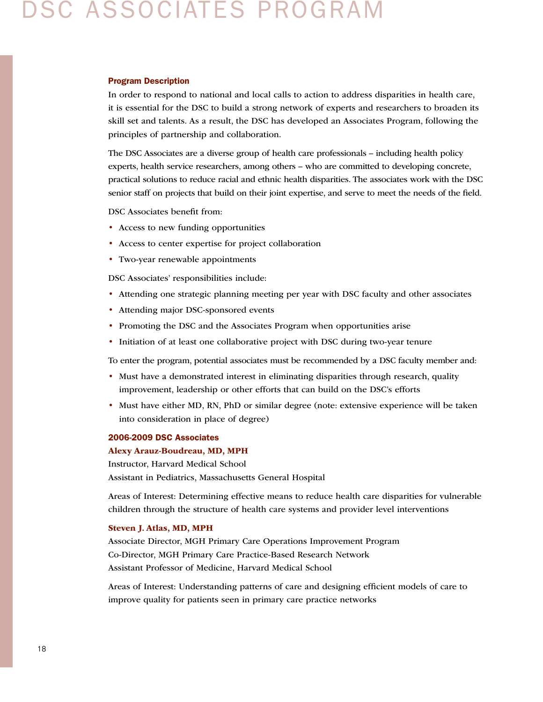## DSC Associates Program

#### Program Description

In order to respond to national and local calls to action to address disparities in health care, it is essential for the DSC to build a strong network of experts and researchers to broaden its skill set and talents. As a result, the DSC has developed an Associates Program, following the principles of partnership and collaboration.

The DSC Associates are a diverse group of health care professionals – including health policy experts, health service researchers, among others – who are committed to developing concrete, practical solutions to reduce racial and ethnic health disparities. The associates work with the DSC senior staff on projects that build on their joint expertise, and serve to meet the needs of the field.

DSC Associates benefit from:

- Access to new funding opportunities
- Access to center expertise for project collaboration
- Two-year renewable appointments

DSC Associates' responsibilities include:

- Attending one strategic planning meeting per year with DSC faculty and other associates
- Attending major DSC-sponsored events
- Promoting the DSC and the Associates Program when opportunities arise
- Initiation of at least one collaborative project with DSC during two-year tenure

To enter the program, potential associates must be recommended by a DSC faculty member and:

- Must have a demonstrated interest in eliminating disparities through research, quality improvement, leadership or other efforts that can build on the DSC's efforts
- Must have either MD, RN, PhD or similar degree (note: extensive experience will be taken into consideration in place of degree)

#### 2006-2009 DSC Associates

#### Alexy Arauz-Boudreau, MD, MPH

Instructor, Harvard Medical School Assistant in Pediatrics, Massachusetts General Hospital

Areas of Interest: Determining effective means to reduce health care disparities for vulnerable children through the structure of health care systems and provider level interventions

#### Steven J. Atlas, MD, MPH

Associate Director, MGH Primary Care Operations Improvement Program Co-Director, MGH Primary Care Practice-Based Research Network Assistant Professor of Medicine, Harvard Medical School

Areas of Interest: Understanding patterns of care and designing efficient models of care to improve quality for patients seen in primary care practice networks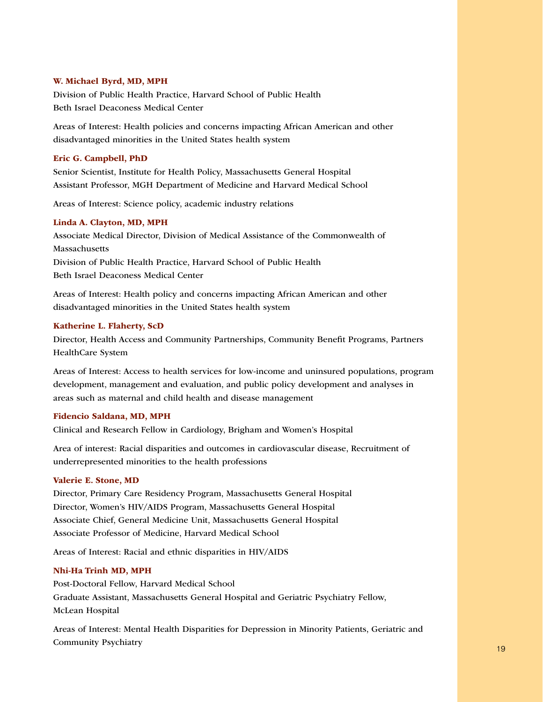#### W. Michael Byrd, MD, MPH

Division of Public Health Practice, Harvard School of Public Health Beth Israel Deaconess Medical Center

Areas of Interest: Health policies and concerns impacting African American and other disadvantaged minorities in the United States health system

#### Eric G. Campbell, PhD

Senior Scientist, Institute for Health Policy, Massachusetts General Hospital Assistant Professor, MGH Department of Medicine and Harvard Medical School

Areas of Interest: Science policy, academic industry relations

#### Linda A. Clayton, MD, MPH

Associate Medical Director, Division of Medical Assistance of the Commonwealth of Massachusetts Division of Public Health Practice, Harvard School of Public Health Beth Israel Deaconess Medical Center

Areas of Interest: Health policy and concerns impacting African American and other disadvantaged minorities in the United States health system

#### Katherine L. Flaherty, ScD

Director, Health Access and Community Partnerships, Community Benefit Programs, Partners HealthCare System

Areas of Interest: Access to health services for low-income and uninsured populations, program development, management and evaluation, and public policy development and analyses in areas such as maternal and child health and disease management

#### Fidencio Saldana, MD, MPH

Clinical and Research Fellow in Cardiology, Brigham and Women's Hospital

Area of interest: Racial disparities and outcomes in cardiovascular disease, Recruitment of underrepresented minorities to the health professions

### Valerie E. Stone, MD

Director, Primary Care Residency Program, Massachusetts General Hospital Director, Women's HIV/AIDS Program, Massachusetts General Hospital Associate Chief, General Medicine Unit, Massachusetts General Hospital Associate Professor of Medicine, Harvard Medical School

Areas of Interest: Racial and ethnic disparities in HIV/AIDS

### Nhi-Ha Trinh MD, MPH

Post-Doctoral Fellow, Harvard Medical School Graduate Assistant, Massachusetts General Hospital and Geriatric Psychiatry Fellow, McLean Hospital

 $\sim$  19  $\sim$  19  $\sim$  19  $\sim$  19  $\sim$  19  $\sim$  19  $\sim$  19  $\sim$  19  $\sim$  19  $\sim$  19  $\sim$  19  $\sim$  19  $\sim$  19  $\sim$  19  $\sim$  19  $\sim$  19  $\sim$  19  $\sim$  19  $\sim$  19  $\sim$  19  $\sim$  19  $\sim$  19  $\sim$  19  $\sim$  19  $\sim$  19  $\sim$  19  $\sim$  19  $\sim$  Areas of Interest: Mental Health Disparities for Depression in Minority Patients, Geriatric and Community Psychiatry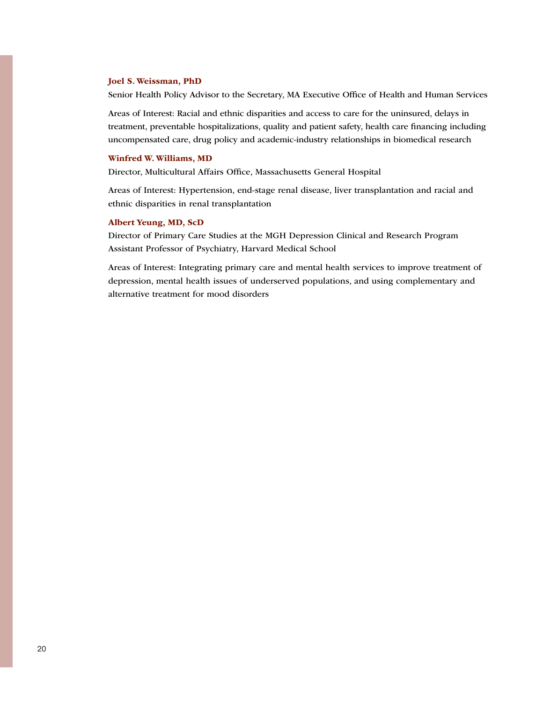#### Joel S. Weissman, PhD

Senior Health Policy Advisor to the Secretary, MA Executive Office of Health and Human Services

Areas of Interest: Racial and ethnic disparities and access to care for the uninsured, delays in treatment, preventable hospitalizations, quality and patient safety, health care financing including uncompensated care, drug policy and academic-industry relationships in biomedical research

#### Winfred W. Williams, MD

Director, Multicultural Affairs Office, Massachusetts General Hospital

Areas of Interest: Hypertension, end-stage renal disease, liver transplantation and racial and ethnic disparities in renal transplantation

#### Albert Yeung, MD, ScD

Director of Primary Care Studies at the MGH Depression Clinical and Research Program Assistant Professor of Psychiatry, Harvard Medical School

Areas of Interest: Integrating primary care and mental health services to improve treatment of depression, mental health issues of underserved populations, and using complementary and alternative treatment for mood disorders